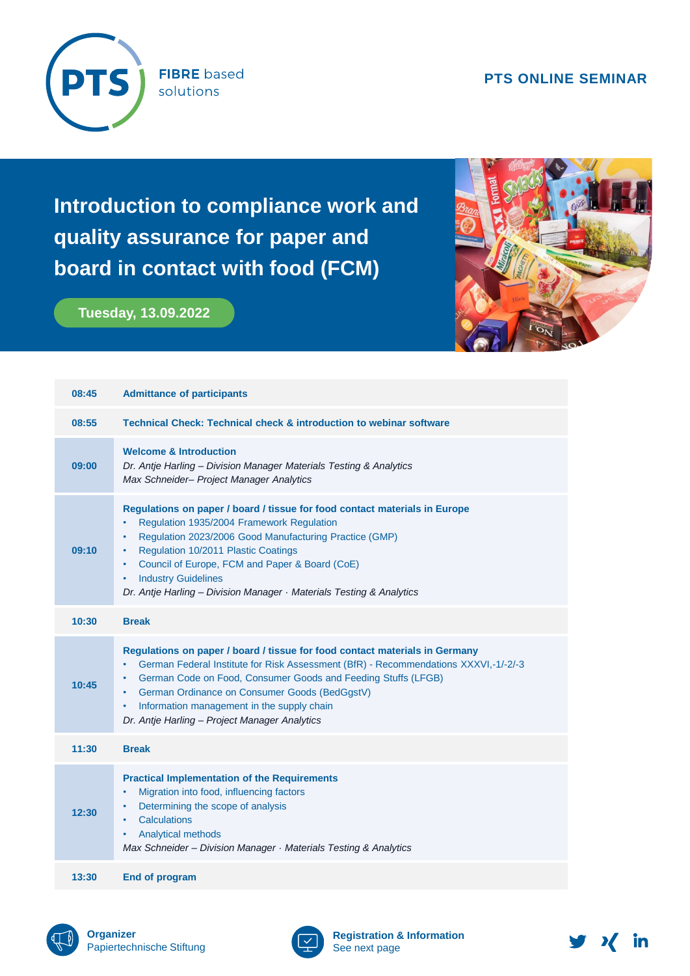## **PTS ONLINE SEMINAR**



**FIBRE** based solutions

**Introduction to compliance work and quality assurance for paper and board in contact with food (FCM)** 

## **Tuesday, 13.09.2022**



| 08:45 | <b>Admittance of participants</b>                                                                                                                                                                                                                                                                                                                                                                                 |  |  |
|-------|-------------------------------------------------------------------------------------------------------------------------------------------------------------------------------------------------------------------------------------------------------------------------------------------------------------------------------------------------------------------------------------------------------------------|--|--|
| 08:55 | <b>Technical Check: Technical check &amp; introduction to webinar software</b>                                                                                                                                                                                                                                                                                                                                    |  |  |
| 09:00 | <b>Welcome &amp; Introduction</b><br>Dr. Antje Harling - Division Manager Materials Testing & Analytics<br>Max Schneider- Project Manager Analytics                                                                                                                                                                                                                                                               |  |  |
| 09:10 | Regulations on paper / board / tissue for food contact materials in Europe<br>Regulation 1935/2004 Framework Regulation<br>$\bullet$<br>Regulation 2023/2006 Good Manufacturing Practice (GMP)<br>٠<br>Regulation 10/2011 Plastic Coatings<br>٠<br>Council of Europe, FCM and Paper & Board (CoE)<br>٠<br><b>Industry Guidelines</b><br>٠<br>Dr. Antje Harling - Division Manager · Materials Testing & Analytics |  |  |
| 10:30 | <b>Break</b>                                                                                                                                                                                                                                                                                                                                                                                                      |  |  |
| 10:45 | Regulations on paper / board / tissue for food contact materials in Germany<br>German Federal Institute for Risk Assessment (BfR) - Recommendations XXXVI,-1/-2/-3<br>٠<br>German Code on Food, Consumer Goods and Feeding Stuffs (LFGB)<br>٠<br>German Ordinance on Consumer Goods (BedGgstV)<br>٠<br>Information management in the supply chain<br>$\bullet$<br>Dr. Antje Harling - Project Manager Analytics   |  |  |
| 11:30 | <b>Break</b>                                                                                                                                                                                                                                                                                                                                                                                                      |  |  |
| 12:30 | <b>Practical Implementation of the Requirements</b><br>Migration into food, influencing factors<br>$\bullet$<br>Determining the scope of analysis<br>$\bullet$<br>Calculations<br>$\bullet$<br>Analytical methods<br>٠<br>Max Schneider - Division Manager · Materials Testing & Analytics                                                                                                                        |  |  |
| 13:30 | <b>End of program</b>                                                                                                                                                                                                                                                                                                                                                                                             |  |  |